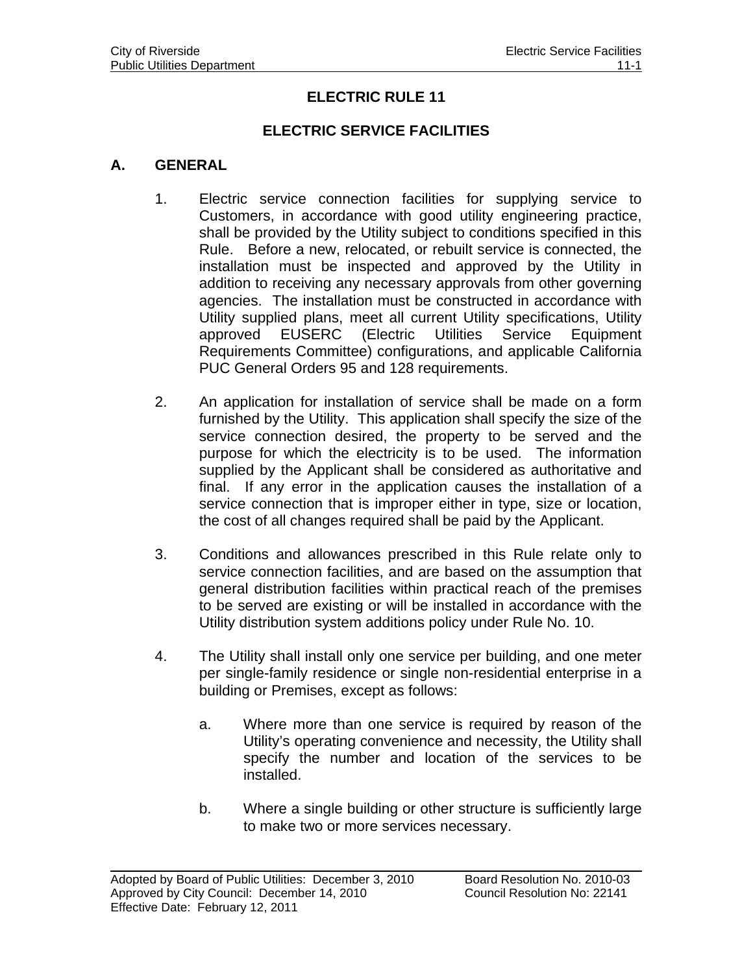# **ELECTRIC RULE 11**

### **ELECTRIC SERVICE FACILITIES**

#### **A. GENERAL**

- 1. Electric service connection facilities for supplying service to Customers, in accordance with good utility engineering practice, shall be provided by the Utility subject to conditions specified in this Rule. Before a new, relocated, or rebuilt service is connected, the installation must be inspected and approved by the Utility in addition to receiving any necessary approvals from other governing agencies. The installation must be constructed in accordance with Utility supplied plans, meet all current Utility specifications, Utility approved EUSERC (Electric Utilities Service Equipment Requirements Committee) configurations, and applicable California PUC General Orders 95 and 128 requirements.
- 2. An application for installation of service shall be made on a form furnished by the Utility. This application shall specify the size of the service connection desired, the property to be served and the purpose for which the electricity is to be used. The information supplied by the Applicant shall be considered as authoritative and final. If any error in the application causes the installation of a service connection that is improper either in type, size or location, the cost of all changes required shall be paid by the Applicant.
- 3. Conditions and allowances prescribed in this Rule relate only to service connection facilities, and are based on the assumption that general distribution facilities within practical reach of the premises to be served are existing or will be installed in accordance with the Utility distribution system additions policy under Rule No. 10.
- 4. The Utility shall install only one service per building, and one meter per single-family residence or single non-residential enterprise in a building or Premises, except as follows:
	- a. Where more than one service is required by reason of the Utility's operating convenience and necessity, the Utility shall specify the number and location of the services to be installed.
	- b. Where a single building or other structure is sufficiently large to make two or more services necessary.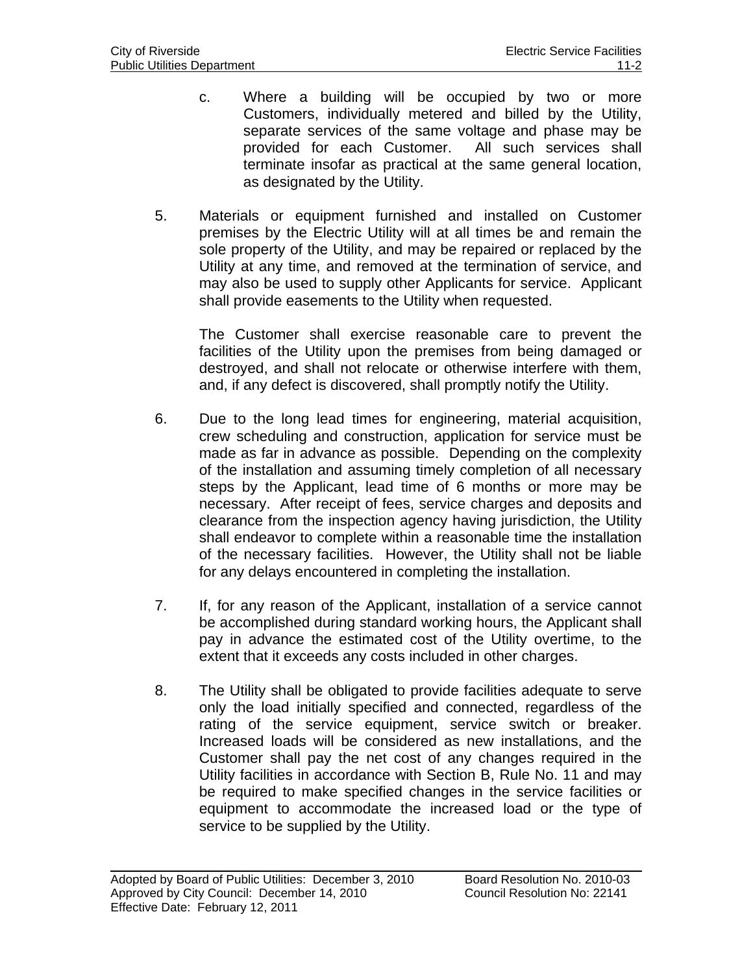- c. Where a building will be occupied by two or more Customers, individually metered and billed by the Utility, separate services of the same voltage and phase may be provided for each Customer. All such services shall terminate insofar as practical at the same general location, as designated by the Utility.
- 5. Materials or equipment furnished and installed on Customer premises by the Electric Utility will at all times be and remain the sole property of the Utility, and may be repaired or replaced by the Utility at any time, and removed at the termination of service, and may also be used to supply other Applicants for service. Applicant shall provide easements to the Utility when requested.

 The Customer shall exercise reasonable care to prevent the facilities of the Utility upon the premises from being damaged or destroyed, and shall not relocate or otherwise interfere with them, and, if any defect is discovered, shall promptly notify the Utility.

- 6. Due to the long lead times for engineering, material acquisition, crew scheduling and construction, application for service must be made as far in advance as possible. Depending on the complexity of the installation and assuming timely completion of all necessary steps by the Applicant, lead time of 6 months or more may be necessary. After receipt of fees, service charges and deposits and clearance from the inspection agency having jurisdiction, the Utility shall endeavor to complete within a reasonable time the installation of the necessary facilities. However, the Utility shall not be liable for any delays encountered in completing the installation.
- 7. If, for any reason of the Applicant, installation of a service cannot be accomplished during standard working hours, the Applicant shall pay in advance the estimated cost of the Utility overtime, to the extent that it exceeds any costs included in other charges.
- 8. The Utility shall be obligated to provide facilities adequate to serve only the load initially specified and connected, regardless of the rating of the service equipment, service switch or breaker. Increased loads will be considered as new installations, and the Customer shall pay the net cost of any changes required in the Utility facilities in accordance with Section B, Rule No. 11 and may be required to make specified changes in the service facilities or equipment to accommodate the increased load or the type of service to be supplied by the Utility.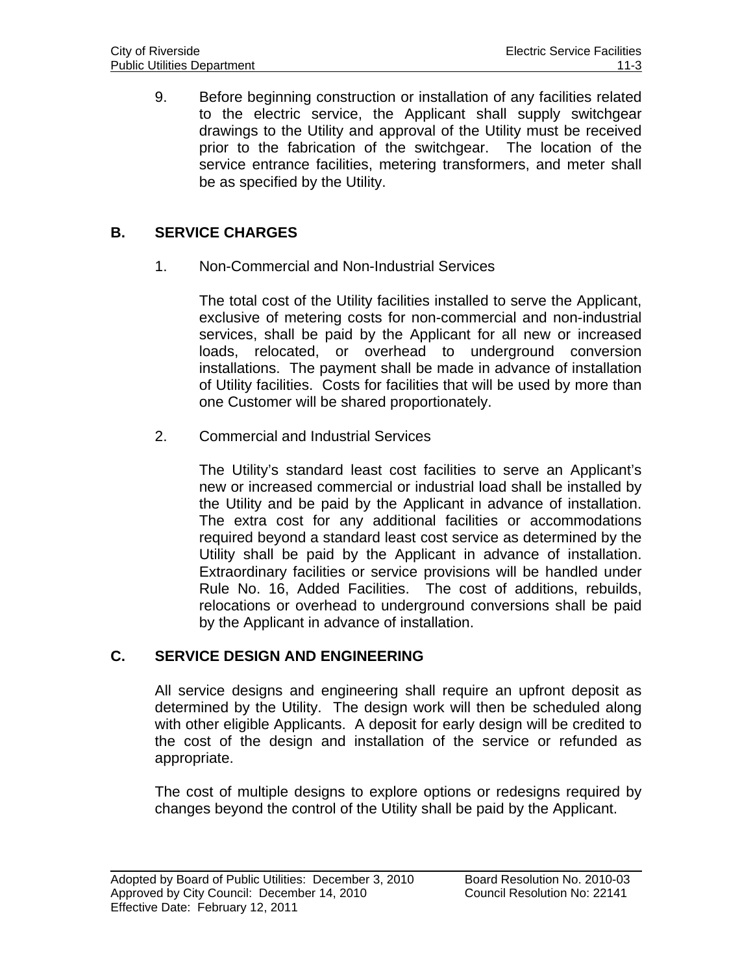9. Before beginning construction or installation of any facilities related to the electric service, the Applicant shall supply switchgear drawings to the Utility and approval of the Utility must be received prior to the fabrication of the switchgear. The location of the service entrance facilities, metering transformers, and meter shall be as specified by the Utility.

# **B. SERVICE CHARGES**

1. Non-Commercial and Non-Industrial Services

The total cost of the Utility facilities installed to serve the Applicant, exclusive of metering costs for non-commercial and non-industrial services, shall be paid by the Applicant for all new or increased loads, relocated, or overhead to underground conversion installations. The payment shall be made in advance of installation of Utility facilities. Costs for facilities that will be used by more than one Customer will be shared proportionately.

2. Commercial and Industrial Services

The Utility's standard least cost facilities to serve an Applicant's new or increased commercial or industrial load shall be installed by the Utility and be paid by the Applicant in advance of installation. The extra cost for any additional facilities or accommodations required beyond a standard least cost service as determined by the Utility shall be paid by the Applicant in advance of installation. Extraordinary facilities or service provisions will be handled under Rule No. 16, Added Facilities. The cost of additions, rebuilds, relocations or overhead to underground conversions shall be paid by the Applicant in advance of installation.

#### **C. SERVICE DESIGN AND ENGINEERING**

All service designs and engineering shall require an upfront deposit as determined by the Utility. The design work will then be scheduled along with other eligible Applicants. A deposit for early design will be credited to the cost of the design and installation of the service or refunded as appropriate.

The cost of multiple designs to explore options or redesigns required by changes beyond the control of the Utility shall be paid by the Applicant.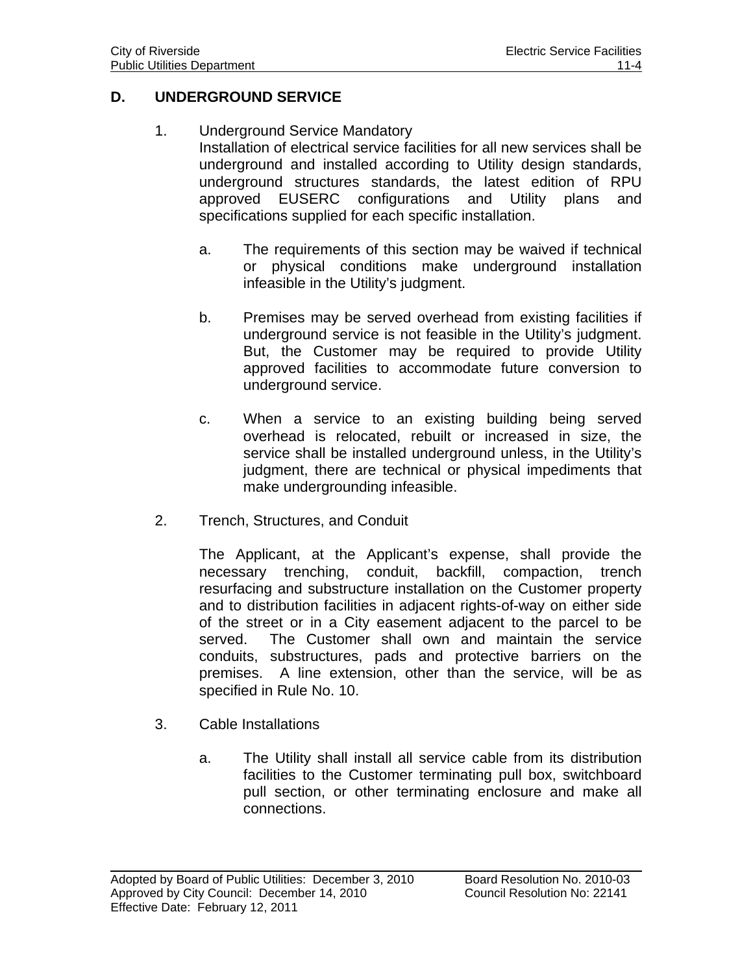## **D. UNDERGROUND SERVICE**

- 1. Underground Service Mandatory Installation of electrical service facilities for all new services shall be underground and installed according to Utility design standards, underground structures standards, the latest edition of RPU approved EUSERC configurations and Utility plans and specifications supplied for each specific installation.
	- a. The requirements of this section may be waived if technical or physical conditions make underground installation infeasible in the Utility's judgment.
	- b. Premises may be served overhead from existing facilities if underground service is not feasible in the Utility's judgment. But, the Customer may be required to provide Utility approved facilities to accommodate future conversion to underground service.
	- c. When a service to an existing building being served overhead is relocated, rebuilt or increased in size, the service shall be installed underground unless, in the Utility's judgment, there are technical or physical impediments that make undergrounding infeasible.
- 2. Trench, Structures, and Conduit

The Applicant, at the Applicant's expense, shall provide the necessary trenching, conduit, backfill, compaction, trench resurfacing and substructure installation on the Customer property and to distribution facilities in adjacent rights-of-way on either side of the street or in a City easement adjacent to the parcel to be served. The Customer shall own and maintain the service conduits, substructures, pads and protective barriers on the premises. A line extension, other than the service, will be as specified in Rule No. 10.

- 3. Cable Installations
	- a. The Utility shall install all service cable from its distribution facilities to the Customer terminating pull box, switchboard pull section, or other terminating enclosure and make all connections.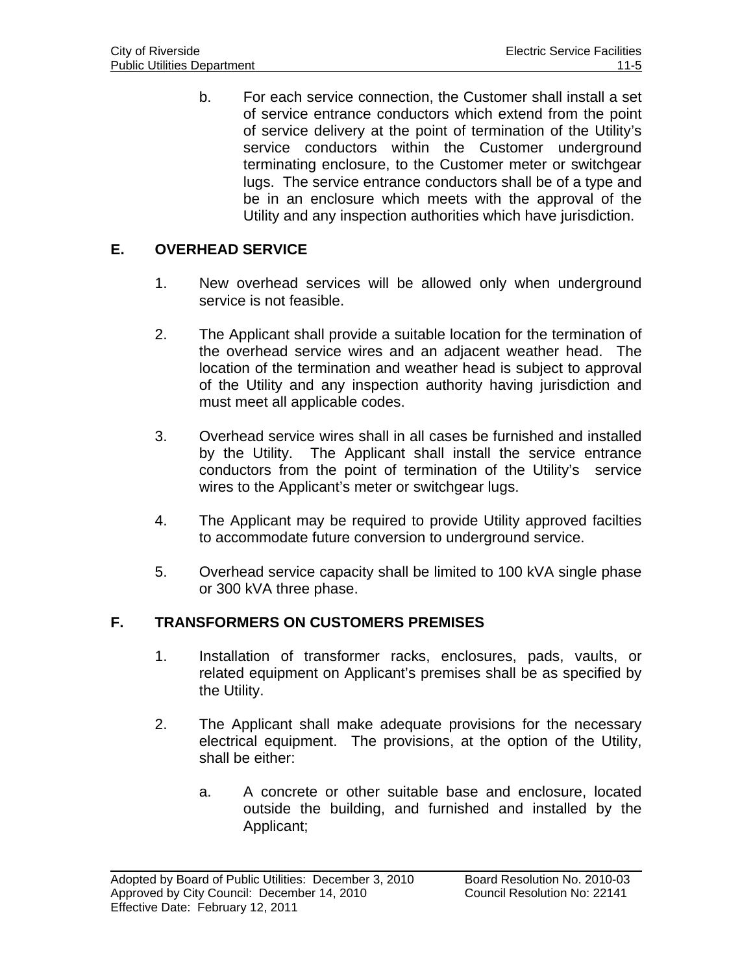b. For each service connection, the Customer shall install a set of service entrance conductors which extend from the point of service delivery at the point of termination of the Utility's service conductors within the Customer underground terminating enclosure, to the Customer meter or switchgear lugs. The service entrance conductors shall be of a type and be in an enclosure which meets with the approval of the Utility and any inspection authorities which have jurisdiction.

# **E. OVERHEAD SERVICE**

- 1. New overhead services will be allowed only when underground service is not feasible.
- 2. The Applicant shall provide a suitable location for the termination of the overhead service wires and an adjacent weather head. The location of the termination and weather head is subject to approval of the Utility and any inspection authority having jurisdiction and must meet all applicable codes.
- 3. Overhead service wires shall in all cases be furnished and installed by the Utility. The Applicant shall install the service entrance conductors from the point of termination of the Utility's service wires to the Applicant's meter or switchgear lugs.
- 4. The Applicant may be required to provide Utility approved facilties to accommodate future conversion to underground service.
- 5. Overhead service capacity shall be limited to 100 kVA single phase or 300 kVA three phase.

### **F. TRANSFORMERS ON CUSTOMERS PREMISES**

- 1. Installation of transformer racks, enclosures, pads, vaults, or related equipment on Applicant's premises shall be as specified by the Utility.
- 2. The Applicant shall make adequate provisions for the necessary electrical equipment. The provisions, at the option of the Utility, shall be either:
	- a. A concrete or other suitable base and enclosure, located outside the building, and furnished and installed by the Applicant;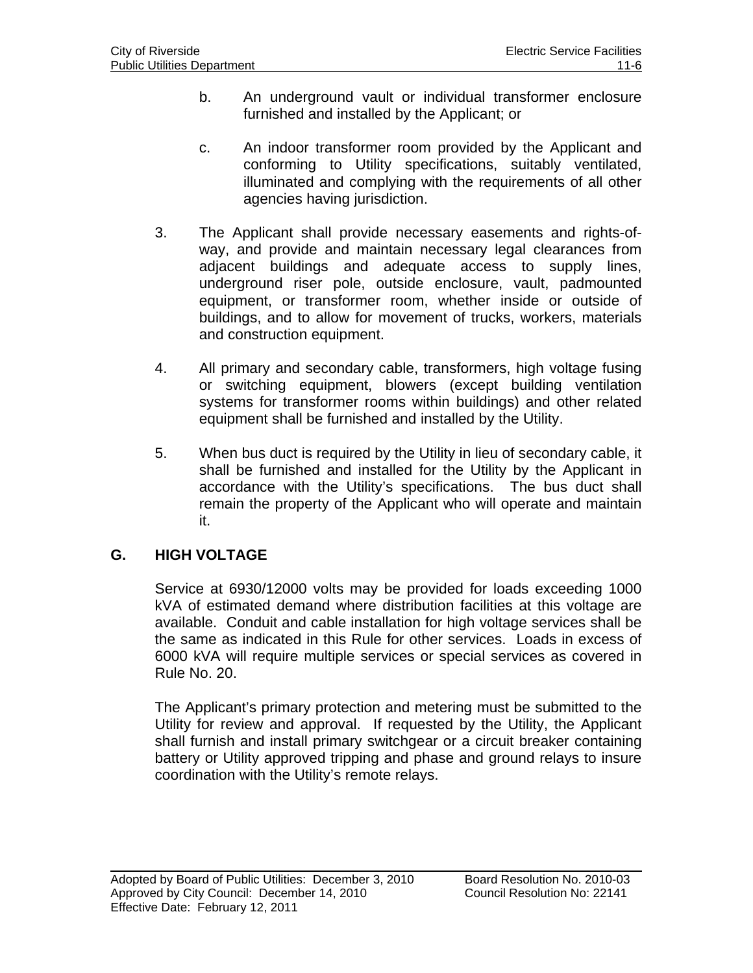- b. An underground vault or individual transformer enclosure furnished and installed by the Applicant; or
- c. An indoor transformer room provided by the Applicant and conforming to Utility specifications, suitably ventilated, illuminated and complying with the requirements of all other agencies having jurisdiction.
- 3. The Applicant shall provide necessary easements and rights-ofway, and provide and maintain necessary legal clearances from adjacent buildings and adequate access to supply lines, underground riser pole, outside enclosure, vault, padmounted equipment, or transformer room, whether inside or outside of buildings, and to allow for movement of trucks, workers, materials and construction equipment.
- 4. All primary and secondary cable, transformers, high voltage fusing or switching equipment, blowers (except building ventilation systems for transformer rooms within buildings) and other related equipment shall be furnished and installed by the Utility.
- 5. When bus duct is required by the Utility in lieu of secondary cable, it shall be furnished and installed for the Utility by the Applicant in accordance with the Utility's specifications. The bus duct shall remain the property of the Applicant who will operate and maintain it.

# **G. HIGH VOLTAGE**

 $\overline{a}$ 

Service at 6930/12000 volts may be provided for loads exceeding 1000 kVA of estimated demand where distribution facilities at this voltage are available. Conduit and cable installation for high voltage services shall be the same as indicated in this Rule for other services. Loads in excess of 6000 kVA will require multiple services or special services as covered in Rule No. 20.

The Applicant's primary protection and metering must be submitted to the Utility for review and approval. If requested by the Utility, the Applicant shall furnish and install primary switchgear or a circuit breaker containing battery or Utility approved tripping and phase and ground relays to insure coordination with the Utility's remote relays.